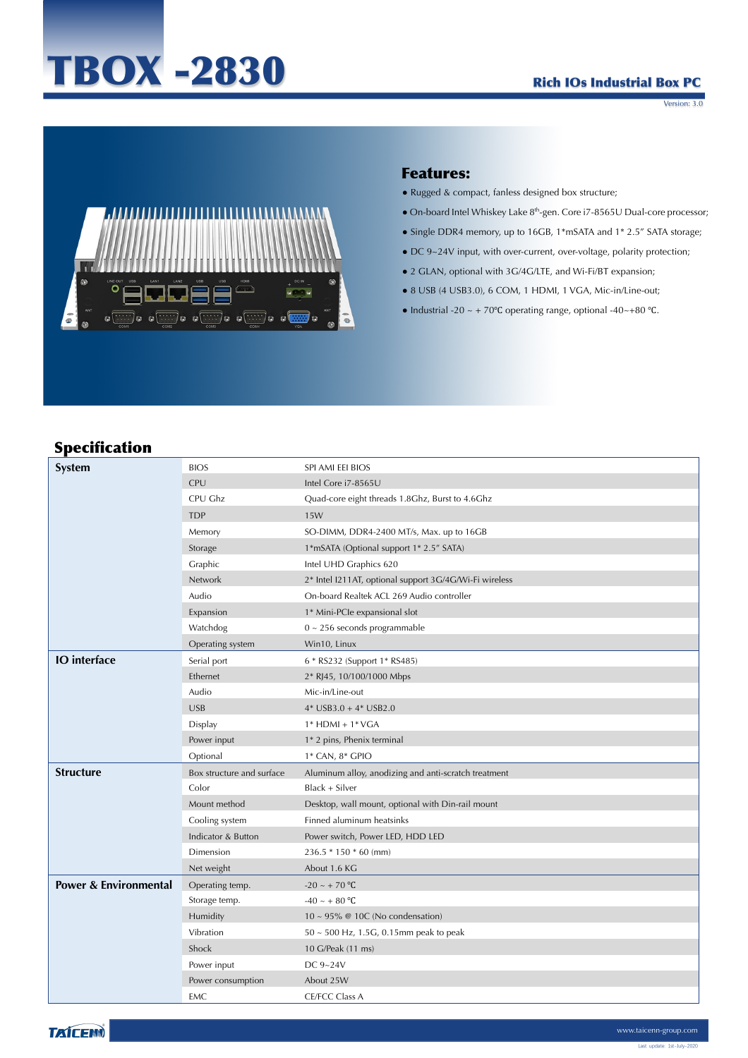# TBOX -2830

#### Rich IOs Industrial Box PC

Version: 3.0



#### Features:

- Rugged & compact, fanless designed box structure;
- On-board Intel Whiskey Lake 8th-gen. Core i7-8565U Dual-core processor;
- Single DDR4 memory, up to 16GB, 1\*mSATA and 1\* 2.5" SATA storage;
- DC 9~24V input, with over-current, over-voltage, polarity protection;
- 2 GLAN, optional with 3G/4G/LTE, and Wi-Fi/BT expansion;
- 8 USB (4 USB3.0), 6 COM, 1 HDMI, 1 VGA, Mic-in/Line-out;
- Industrial -20 ~ + 70°C operating range, optional -40~+80 °C.

# Specification

| System                           | <b>BIOS</b>               | SPI AMI EEI BIOS                                       |
|----------------------------------|---------------------------|--------------------------------------------------------|
|                                  | <b>CPU</b>                | Intel Core i7-8565U                                    |
|                                  | CPU Ghz                   | Quad-core eight threads 1.8Ghz, Burst to 4.6Ghz        |
|                                  | <b>TDP</b>                | 15W                                                    |
|                                  | Memory                    | SO-DIMM, DDR4-2400 MT/s, Max. up to 16GB               |
|                                  | Storage                   | 1*mSATA (Optional support 1* 2.5" SATA)                |
|                                  | Graphic                   | Intel UHD Graphics 620                                 |
|                                  | Network                   | 2* Intel I211AT, optional support 3G/4G/Wi-Fi wireless |
|                                  | Audio                     | On-board Realtek ACL 269 Audio controller              |
|                                  | Expansion                 | 1* Mini-PCle expansional slot                          |
|                                  | Watchdog                  | $0 \sim 256$ seconds programmable                      |
|                                  | Operating system          | Win10, Linux                                           |
| <b>IO</b> interface              | Serial port               | 6 * RS232 (Support 1* RS485)                           |
|                                  | Ethernet                  | 2* RJ45, 10/100/1000 Mbps                              |
|                                  | Audio                     | Mic-in/Line-out                                        |
|                                  | <b>USB</b>                | $4*$ USB3.0 + $4*$ USB2.0                              |
|                                  | Display                   | $1*$ HDMI + $1*$ VGA                                   |
|                                  | Power input               | 1* 2 pins, Phenix terminal                             |
|                                  | Optional                  | 1* CAN, 8* GPIO                                        |
| <b>Structure</b>                 | Box structure and surface | Aluminum alloy, anodizing and anti-scratch treatment   |
|                                  | Color                     | Black + Silver                                         |
|                                  | Mount method              | Desktop, wall mount, optional with Din-rail mount      |
|                                  | Cooling system            | Finned aluminum heatsinks                              |
|                                  | Indicator & Button        | Power switch, Power LED, HDD LED                       |
|                                  | Dimension                 | $236.5 * 150 * 60$ (mm)                                |
|                                  | Net weight                | About 1.6 KG                                           |
| <b>Power &amp; Environmental</b> | Operating temp.           | $-20 \sim +70$ °C                                      |
|                                  | Storage temp.             | $-40 \sim +80$ °C                                      |
|                                  | Humidity                  | $10 \sim 95\%$ @ 10C (No condensation)                 |
|                                  | Vibration                 | $50 \sim 500$ Hz, 1.5G, 0.15mm peak to peak            |
|                                  | Shock                     | 10 G/Peak (11 ms)                                      |
|                                  | Power input               | DC 9~24V                                               |
|                                  | Power consumption         | About 25W                                              |
|                                  | EMC                       | CE/FCC Class A                                         |